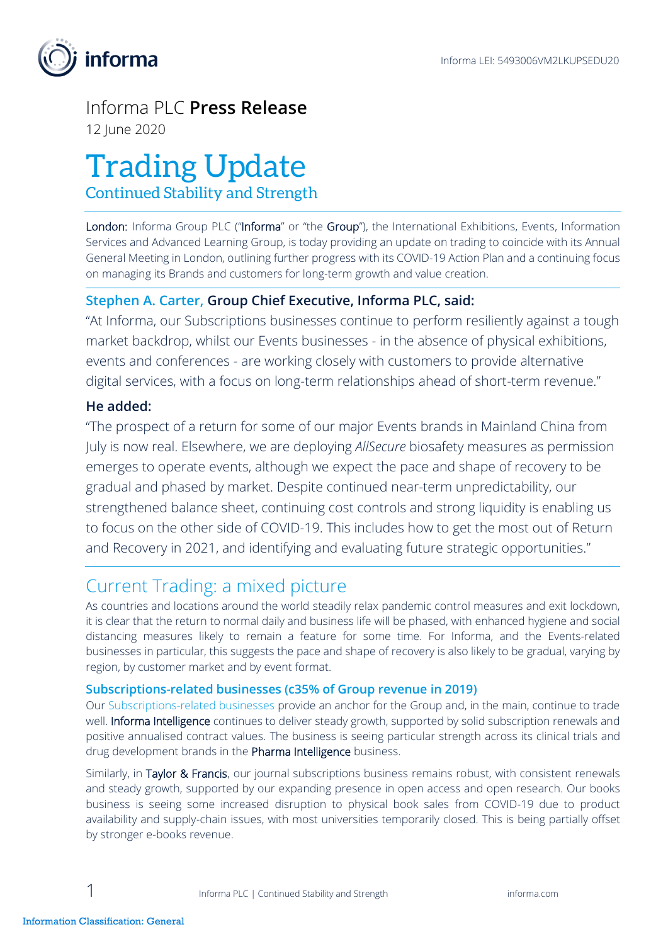

# Informa PLC **Press Release**

12 June 2020

# Trading Update

Continued Stability and Strength

London: Informa Group PLC ("Informa" or "the Group"), the International Exhibitions, Events, Information Services and Advanced Learning Group, is today providing an update on trading to coincide with its Annual General Meeting in London, outlining further progress with its COVID-19 Action Plan and a continuing focus on managing its Brands and customers for long-term growth and value creation.

## **Stephen A. Carter, Group Chief Executive, Informa PLC, said:**

"At Informa, our Subscriptions businesses continue to perform resiliently against a tough market backdrop, whilst our Events businesses - in the absence of physical exhibitions, events and conferences - are working closely with customers to provide alternative digital services, with a focus on long-term relationships ahead of short-term revenue."

## **He added:**

"The prospect of a return for some of our major Events brands in Mainland China from July is now real. Elsewhere, we are deploying *AllSecure* biosafety measures as permission emerges to operate events, although we expect the pace and shape of recovery to be gradual and phased by market. Despite continued near-term unpredictability, our strengthened balance sheet, continuing cost controls and strong liquidity is enabling us to focus on the other side of COVID-19. This includes how to get the most out of Return and Recovery in 2021, and identifying and evaluating future strategic opportunities."

# Current Trading: a mixed picture

As countries and locations around the world steadily relax pandemic control measures and exit lockdown, it is clear that the return to normal daily and business life will be phased, with enhanced hygiene and social distancing measures likely to remain a feature for some time. For Informa, and the Events-related businesses in particular, this suggests the pace and shape of recovery is also likely to be gradual, varying by region, by customer market and by event format.

#### **Subscriptions-related businesses (c35% of Group revenue in 2019)**

Our Subscriptions-related businesses provide an anchor for the Group and, in the main, continue to trade well. Informa Intelligence continues to deliver steady growth, supported by solid subscription renewals and positive annualised contract values. The business is seeing particular strength across its clinical trials and drug development brands in the Pharma Intelligence business.

Similarly, in Taylor & Francis, our journal subscriptions business remains robust, with consistent renewals and steady growth, supported by our expanding presence in open access and open research. Our books business is seeing some increased disruption to physical book sales from COVID-19 due to product availability and supply-chain issues, with most universities temporarily closed. This is being partially offset by stronger e-books revenue.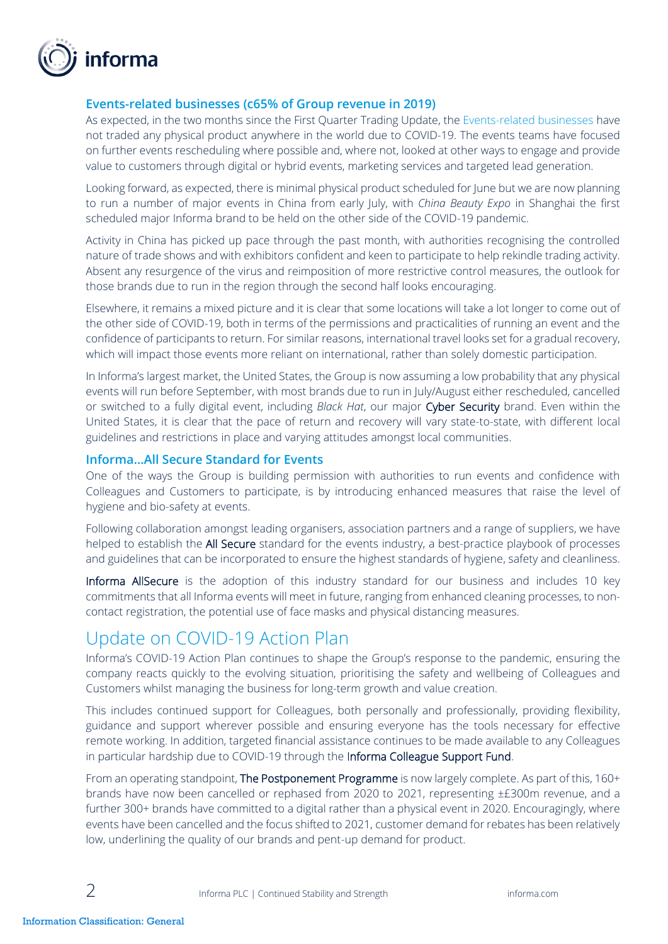

#### **Events-related businesses (c65% of Group revenue in 2019)**

As expected, in the two months since the First Quarter Trading Update, the Events-related businesses have not traded any physical product anywhere in the world due to COVID-19. The events teams have focused on further events rescheduling where possible and, where not, looked at other ways to engage and provide value to customers through digital or hybrid events, marketing services and targeted lead generation.

Looking forward, as expected, there is minimal physical product scheduled for June but we are now planning to run a number of major events in China from early July, with *China Beauty Expo* in Shanghai the first scheduled major Informa brand to be held on the other side of the COVID-19 pandemic.

Activity in China has picked up pace through the past month, with authorities recognising the controlled nature of trade shows and with exhibitors confident and keen to participate to help rekindle trading activity. Absent any resurgence of the virus and reimposition of more restrictive control measures, the outlook for those brands due to run in the region through the second half looks encouraging.

Elsewhere, it remains a mixed picture and it is clear that some locations will take a lot longer to come out of the other side of COVID-19, both in terms of the permissions and practicalities of running an event and the confidence of participants to return. For similar reasons, international travel looks set for a gradual recovery, which will impact those events more reliant on international, rather than solely domestic participation.

In Informa's largest market, the United States, the Group is now assuming a low probability that any physical events will run before September, with most brands due to run in July/August either rescheduled, cancelled or switched to a fully digital event, including *Black Hat*, our major Cyber Security brand. Even within the United States, it is clear that the pace of return and recovery will vary state-to-state, with different local guidelines and restrictions in place and varying attitudes amongst local communities.

#### **Informa…All Secure Standard for Events**

One of the ways the Group is building permission with authorities to run events and confidence with Colleagues and Customers to participate, is by introducing enhanced measures that raise the level of hygiene and bio-safety at events.

Following collaboration amongst leading organisers, association partners and a range of suppliers, we have helped to establish the All Secure standard for the events industry, a best-practice playbook of processes and guidelines that can be incorporated to ensure the highest standards of hygiene, safety and cleanliness.

Informa AllSecure is the adoption of this industry standard for our business and includes 10 key commitments that all Informa events will meet in future, ranging from enhanced cleaning processes, to noncontact registration, the potential use of face masks and physical distancing measures.

# Update on COVID-19 Action Plan

Informa's COVID-19 Action Plan continues to shape the Group's response to the pandemic, ensuring the company reacts quickly to the evolving situation, prioritising the safety and wellbeing of Colleagues and Customers whilst managing the business for long-term growth and value creation.

This includes continued support for Colleagues, both personally and professionally, providing flexibility, guidance and support wherever possible and ensuring everyone has the tools necessary for effective remote working. In addition, targeted financial assistance continues to be made available to any Colleagues in particular hardship due to COVID-19 through the Informa Colleague Support Fund.

From an operating standpoint, The Postponement Programme is now largely complete. As part of this, 160+ brands have now been cancelled or rephased from 2020 to 2021, representing ±£300m revenue, and a further 300+ brands have committed to a digital rather than a physical event in 2020. Encouragingly, where events have been cancelled and the focus shifted to 2021, customer demand for rebates has been relatively low, underlining the quality of our brands and pent-up demand for product.